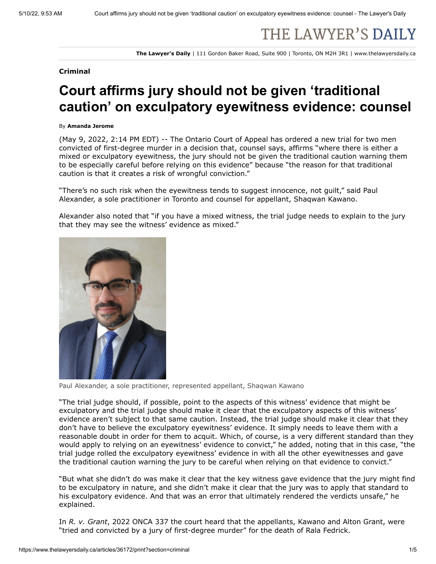## THE LAWYER'S DAILY

**The Lawyer's Daily** | 111 Gordon Baker Road, Suite 900 | Toronto, ON M2H 3R1 | www.thelawyersdaily.ca

## **Criminal**

## **Court affirms jury should not be given 'traditional caution' on exculpatory eyewitness evidence: counsel**

## By **Amanda Jerome**

(May 9, 2022, 2:14 PM EDT) -- The Ontario Court of Appeal has ordered a new trial for two men convicted of first-degree murder in a decision that, counsel says, affirms "where there is either a mixed or exculpatory eyewitness, the jury should not be given the traditional caution warning them to be especially careful before relying on this evidence" because "the reason for that traditional caution is that it creates a risk of wrongful conviction."

"There's no such risk when the eyewitness tends to suggest innocence, not guilt," said Paul Alexander, a sole practitioner in Toronto and counsel for appellant, Shaqwan Kawano.

Alexander also noted that "if you have a mixed witness, the trial judge needs to explain to the jury that they may see the witness' evidence as mixed."



Paul Alexander, a sole practitioner, represented appellant, Shaqwan Kawano

"The trial judge should, if possible, point to the aspects of this witness' evidence that might be exculpatory and the trial judge should make it clear that the exculpatory aspects of this witness' evidence aren't subject to that same caution. Instead, the trial judge should make it clear that they don't have to believe the exculpatory eyewitness' evidence. It simply needs to leave them with a reasonable doubt in order for them to acquit. Which, of course, is a very different standard than they would apply to relying on an eyewitness' evidence to convict," he added, noting that in this case, "the trial judge rolled the exculpatory eyewitness' evidence in with all the other eyewitnesses and gave the traditional caution warning the jury to be careful when relying on that evidence to convict."

"But what she didn't do was make it clear that the key witness gave evidence that the jury might find to be exculpatory in nature, and she didn't make it clear that the jury was to apply that standard to his exculpatory evidence. And that was an error that ultimately rendered the verdicts unsafe," he explained.

In *R. v. Grant*, 2022 ONCA 337 the court heard that the appellants, Kawano and Alton Grant, were "tried and convicted by a jury of first-degree murder" for the death of Rala Fedrick.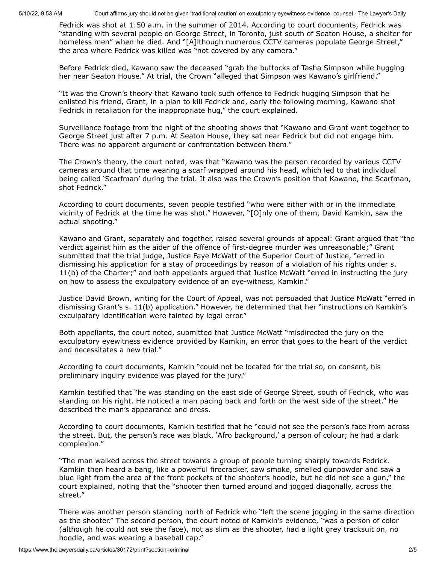5/10/22, 9:53 AM Court affirms jury should not be given 'traditional caution' on exculpatory eyewitness evidence: counsel - The Lawyer's Daily

Fedrick was shot at 1:50 a.m. in the summer of 2014. According to court documents, Fedrick was "standing with several people on George Street, in Toronto, just south of Seaton House, a shelter for homeless men" when he died. And "[A]lthough numerous CCTV cameras populate George Street," the area where Fedrick was killed was "not covered by any camera."

Before Fedrick died, Kawano saw the deceased "grab the buttocks of Tasha Simpson while hugging her near Seaton House." At trial, the Crown "alleged that Simpson was Kawano's girlfriend."

"It was the Crown's theory that Kawano took such offence to Fedrick hugging Simpson that he enlisted his friend, Grant, in a plan to kill Fedrick and, early the following morning, Kawano shot Fedrick in retaliation for the inappropriate hug," the court explained.

Surveillance footage from the night of the shooting shows that "Kawano and Grant went together to George Street just after 7 p.m. At Seaton House, they sat near Fedrick but did not engage him. There was no apparent argument or confrontation between them."

The Crown's theory, the court noted, was that "Kawano was the person recorded by various CCTV cameras around that time wearing a scarf wrapped around his head, which led to that individual being called 'Scarfman' during the trial. It also was the Crown's position that Kawano, the Scarfman, shot Fedrick."

According to court documents, seven people testified "who were either with or in the immediate vicinity of Fedrick at the time he was shot." However, "[O]nly one of them, David Kamkin, saw the actual shooting."

Kawano and Grant, separately and together, raised several grounds of appeal: Grant argued that "the verdict against him as the aider of the offence of first-degree murder was unreasonable;" Grant submitted that the trial judge, Justice Faye McWatt of the Superior Court of Justice, "erred in dismissing his application for a stay of proceedings by reason of a violation of his rights under s. 11(b) of the Charter;" and both appellants argued that Justice McWatt "erred in instructing the jury on how to assess the exculpatory evidence of an eye-witness, Kamkin."

Justice David Brown, writing for the Court of Appeal, was not persuaded that Justice McWatt "erred in dismissing Grant's s. 11(b) application." However, he determined that her "instructions on Kamkin's exculpatory identification were tainted by legal error."

Both appellants, the court noted, submitted that Justice McWatt "misdirected the jury on the exculpatory eyewitness evidence provided by Kamkin, an error that goes to the heart of the verdict and necessitates a new trial."

According to court documents, Kamkin "could not be located for the trial so, on consent, his preliminary inquiry evidence was played for the jury."

Kamkin testified that "he was standing on the east side of George Street, south of Fedrick, who was standing on his right. He noticed a man pacing back and forth on the west side of the street." He described the man's appearance and dress.

According to court documents, Kamkin testified that he "could not see the person's face from across the street. But, the person's race was black, 'Afro background,' a person of colour; he had a dark complexion."

"The man walked across the street towards a group of people turning sharply towards Fedrick. Kamkin then heard a bang, like a powerful firecracker, saw smoke, smelled gunpowder and saw a blue light from the area of the front pockets of the shooter's hoodie, but he did not see a gun," the court explained, noting that the "shooter then turned around and jogged diagonally, across the street."

There was another person standing north of Fedrick who "left the scene jogging in the same direction as the shooter." The second person, the court noted of Kamkin's evidence, "was a person of color (although he could not see the face), not as slim as the shooter, had a light grey tracksuit on, no hoodie, and was wearing a baseball cap."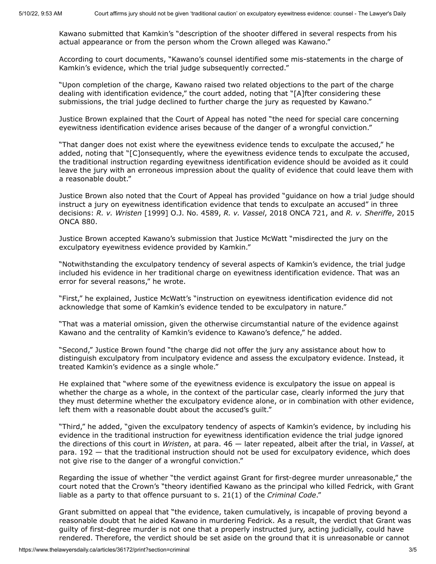Kawano submitted that Kamkin's "description of the shooter differed in several respects from his actual appearance or from the person whom the Crown alleged was Kawano."

According to court documents, "Kawano's counsel identified some mis-statements in the charge of Kamkin's evidence, which the trial judge subsequently corrected."

"Upon completion of the charge, Kawano raised two related objections to the part of the charge dealing with identification evidence," the court added, noting that "[A]fter considering these submissions, the trial judge declined to further charge the jury as requested by Kawano."

Justice Brown explained that the Court of Appeal has noted "the need for special care concerning eyewitness identification evidence arises because of the danger of a wrongful conviction."

"That danger does not exist where the eyewitness evidence tends to exculpate the accused," he added, noting that "[C]onsequently, where the eyewitness evidence tends to exculpate the accused, the traditional instruction regarding eyewitness identification evidence should be avoided as it could leave the jury with an erroneous impression about the quality of evidence that could leave them with a reasonable doubt."

Justice Brown also noted that the Court of Appeal has provided "guidance on how a trial judge should instruct a jury on eyewitness identification evidence that tends to exculpate an accused" in three decisions: *R. v. Wristen* [1999] O.J. No. 4589, *R. v. Vassel*, 2018 ONCA 721, and *R. v. Sheriffe*, 2015 ONCA 880.

Justice Brown accepted Kawano's submission that Justice McWatt "misdirected the jury on the exculpatory eyewitness evidence provided by Kamkin."

"Notwithstanding the exculpatory tendency of several aspects of Kamkin's evidence, the trial judge included his evidence in her traditional charge on eyewitness identification evidence. That was an error for several reasons," he wrote.

"First," he explained, Justice McWatt's "instruction on eyewitness identification evidence did not acknowledge that some of Kamkin's evidence tended to be exculpatory in nature."

"That was a material omission, given the otherwise circumstantial nature of the evidence against Kawano and the centrality of Kamkin's evidence to Kawano's defence," he added.

"Second," Justice Brown found "the charge did not offer the jury any assistance about how to distinguish exculpatory from inculpatory evidence and assess the exculpatory evidence. Instead, it treated Kamkin's evidence as a single whole."

He explained that "where some of the eyewitness evidence is exculpatory the issue on appeal is whether the charge as a whole, in the context of the particular case, clearly informed the jury that they must determine whether the exculpatory evidence alone, or in combination with other evidence, left them with a reasonable doubt about the accused's guilt."

"Third," he added, "given the exculpatory tendency of aspects of Kamkin's evidence, by including his evidence in the traditional instruction for eyewitness identification evidence the trial judge ignored the directions of this court in *Wristen*, at para. 46 — later repeated, albeit after the trial, in *Vassel*, at para. 192 — that the traditional instruction should not be used for exculpatory evidence, which does not give rise to the danger of a wrongful conviction."

Regarding the issue of whether "the verdict against Grant for first-degree murder unreasonable," the court noted that the Crown's "theory identified Kawano as the principal who killed Fedrick, with Grant liable as a party to that offence pursuant to s. 21(1) of the *Criminal Code*."

Grant submitted on appeal that "the evidence, taken cumulatively, is incapable of proving beyond a reasonable doubt that he aided Kawano in murdering Fedrick. As a result, the verdict that Grant was guilty of first-degree murder is not one that a properly instructed jury, acting judicially, could have rendered. Therefore, the verdict should be set aside on the ground that it is unreasonable or cannot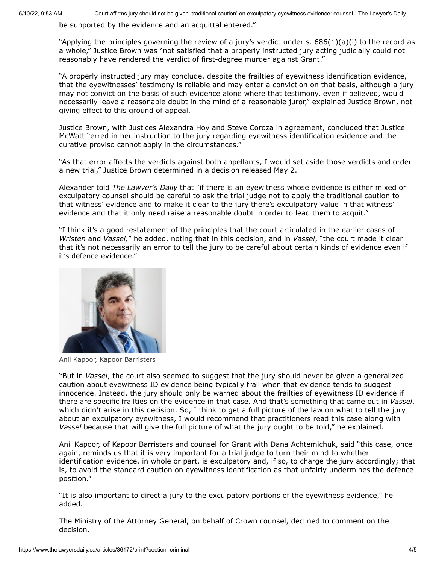be supported by the evidence and an acquittal entered."

"Applying the principles governing the review of a jury's verdict under s.  $686(1)(a)(i)$  to the record as a whole," Justice Brown was "not satisfied that a properly instructed jury acting judicially could not reasonably have rendered the verdict of first-degree murder against Grant."

"A properly instructed jury may conclude, despite the frailties of eyewitness identification evidence, that the eyewitnesses' testimony is reliable and may enter a conviction on that basis, although a jury may not convict on the basis of such evidence alone where that testimony, even if believed, would necessarily leave a reasonable doubt in the mind of a reasonable juror," explained Justice Brown, not giving effect to this ground of appeal.

Justice Brown, with Justices Alexandra Hoy and Steve Coroza in agreement, concluded that Justice McWatt "erred in her instruction to the jury regarding eyewitness identification evidence and the curative proviso cannot apply in the circumstances."

"As that error affects the verdicts against both appellants, I would set aside those verdicts and order a new trial," Justice Brown determined in a decision released May 2.

Alexander told *The Lawyer's Daily* that "if there is an eyewitness whose evidence is either mixed or exculpatory counsel should be careful to ask the trial judge not to apply the traditional caution to that witness' evidence and to make it clear to the jury there's exculpatory value in that witness' evidence and that it only need raise a reasonable doubt in order to lead them to acquit."

"I think it's a good restatement of the principles that the court articulated in the earlier cases of *Wristen* and *Vassel,*" he added, noting that in this decision, and in *Vassel*, "the court made it clear that it's not necessarily an error to tell the jury to be careful about certain kinds of evidence even if it's defence evidence."



Anil Kapoor, Kapoor Barristers

"But in *Vassel*, the court also seemed to suggest that the jury should never be given a generalized caution about eyewitness ID evidence being typically frail when that evidence tends to suggest innocence. Instead, the jury should only be warned about the frailties of eyewitness ID evidence if there are specific frailties on the evidence in that case. And that's something that came out in *Vassel*, which didn't arise in this decision. So, I think to get a full picture of the law on what to tell the jury about an exculpatory eyewitness, I would recommend that practitioners read this case along with *Vassel* because that will give the full picture of what the jury ought to be told," he explained.

Anil Kapoor, of Kapoor Barristers and counsel for Grant with Dana Achtemichuk, said "this case, once again, reminds us that it is very important for a trial judge to turn their mind to whether identification evidence, in whole or part, is exculpatory and, if so, to charge the jury accordingly; that is, to avoid the standard caution on eyewitness identification as that unfairly undermines the defence position."

"It is also important to direct a jury to the exculpatory portions of the eyewitness evidence," he added.

The Ministry of the Attorney General, on behalf of Crown counsel, declined to comment on the decision.